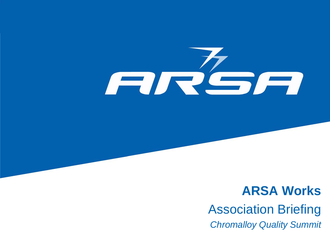

### **ARSA Works** Association Briefing *Chromalloy Quality Summit*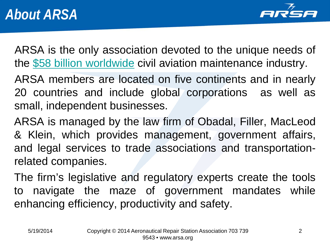

ARSA is the only association devoted to the unique needs of the \$58 billion [worldwide](http://arsa.org/news-media/economic-data/) civil aviation maintenance industry.

ARSA members are located on five continents and in nearly 20 countries and include global corporations as well as small, independent businesses.

ARSA is managed by the law firm of Obadal, Filler, MacLeod & Klein, which provides management, government affairs, and legal services to trade associations and transportationrelated companies.

The firm's legislative and regulatory experts create the tools to navigate the maze of government mandates while enhancing efficiency, productivity and safety.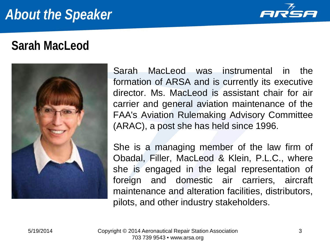## *About the Speaker*



#### **Sarah MacLeod**



Sarah MacLeod was instrumental in the formation of ARSA and is currently its executive director. Ms. MacLeod is assistant chair for air carrier and general aviation maintenance of the FAA's Aviation Rulemaking Advisory Committee (ARAC), a post she has held since 1996.

She is a managing member of the law firm of Obadal, Filler, MacLeod & Klein, P.L.C., where she is engaged in the legal representation of foreign and domestic air carriers, aircraft maintenance and alteration facilities, distributors, pilots, and other industry stakeholders.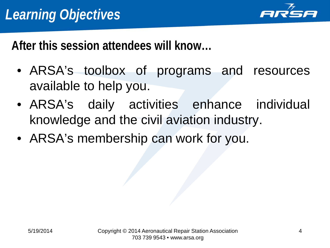

**After this session attendees will know…**

- ARSA's toolbox of programs and resources available to help you.
- ARSA's daily activities enhance individual knowledge and the civil aviation industry.
- ARSA's membership can work for you.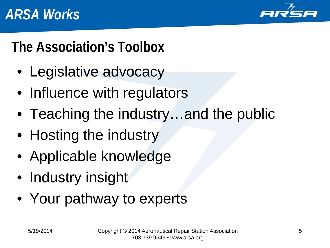

# **The Association's Toolbox**

- Legislative advocacy
- Influence with regulators
- Teaching the industry…and the public
- Hosting the industry
- Applicable knowledge
- Industry insight
- Your pathway to experts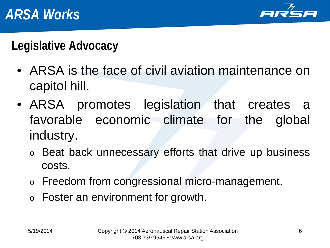

**Legislative Advocacy**

- ARSA is the face of civil aviation maintenance on capitol hill.
- ARSA promotes legislation that creates a favorable economic climate for the global industry.
	- o Beat back unnecessary efforts that drive up business costs.
	- o Freedom from congressional micro-management.
	- o Foster an environment for growth.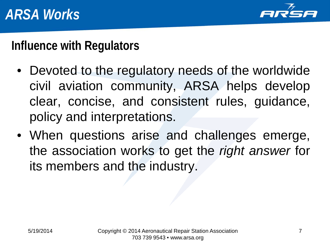

#### **Influence with Regulators**

- Devoted to the regulatory needs of the worldwide civil aviation community, ARSA helps develop clear, concise, and consistent rules, guidance, policy and interpretations.
- When questions arise and challenges emerge, the association works to get the *right answer* for its members and the industry.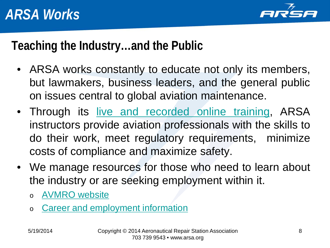

#### **Teaching the Industry…and the Public**

- ARSA works constantly to educate not only its members, but lawmakers, business leaders, and the general public on issues central to global aviation maintenance.
- Through its live and [recorded](https://arsa.webex.com/) online training, ARSA instructors provide aviation professionals with the skills to do their work, meet regulatory requirements, minimize costs of compliance and maximize safety.
- We manage resources for those who need to learn about the industry or are seeking employment within it.
	- o [AVMRO](http://avmro.arsa.org/) website
	- o Career and [employment](http://avmro.arsa.org/careers/) information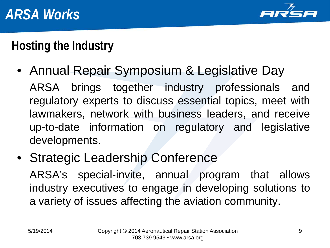

#### **Hosting the Industry**

- Annual Repair Symposium & Legislative Day ARSA brings together industry professionals and regulatory experts to discuss essential topics, meet with lawmakers, network with business leaders, and receive up-to-date information on regulatory and legislative developments.
- Strategic Leadership Conference ARSA's special-invite, annual program that allows industry executives to engage in developing solutions to a variety of issues affecting the aviation community.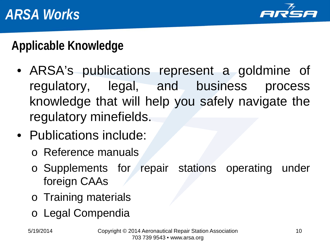

**Applicable Knowledge**

- ARSA's publications represent a goldmine of regulatory, legal, and business process knowledge that will help you safely navigate the regulatory minefields.
- Publications include:
	- o Reference manuals
	- o Supplements for repair stations operating under foreign CAAs
	- o Training materials
	- o Legal Compendia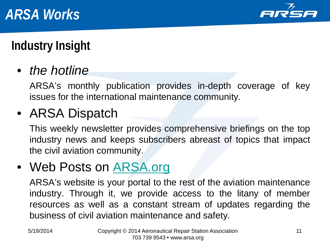

## **Industry Insight**

• *the hotline*

ARSA's monthly publication provides in-depth coverage of key issues for the international maintenance community.

## • ARSA Dispatch

This weekly newsletter provides comprehensive briefings on the top industry news and keeps subscribers abreast of topics that impact the civil aviation community.

#### • Web Posts on [ARSA.org](http://arsa.org/)

ARSA's website is your portal to the rest of the aviation maintenance industry. Through it, we provide access to the litany of member resources as well as a constant stream of updates regarding the business of civil aviation maintenance and safety.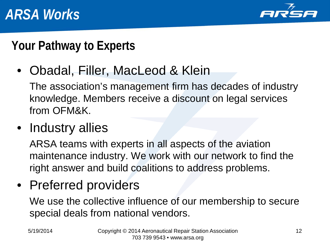

#### **Your Pathway to Experts**

• Obadal, Filler, MacLeod & Klein

The association's management firm has decades of industry knowledge. Members receive a discount on legal services from OFM&K.

• Industry allies

ARSA teams with experts in all aspects of the aviation maintenance industry. We work with our network to find the right answer and build coalitions to address problems.

• Preferred providers

We use the collective influence of our membership to secure special deals from national vendors.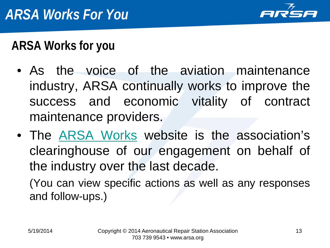

### **ARSA Works for you**

- As the voice of the aviation maintenance industry, ARSA continually works to improve the success and economic vitality of contract maintenance providers.
- The ARSA [Works](http://arsa.org/news-media/arsa-works/) website is the association's clearinghouse of our engagement on behalf of the industry over the last decade.

(You can view specific actions as well as any responses and follow-ups.)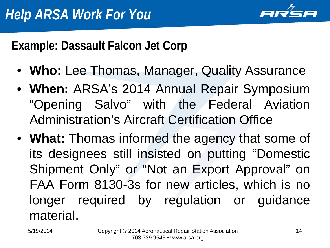

**Example: Dassault Falcon Jet Corp**

- **Who:** Lee Thomas, Manager, Quality Assurance
- **When:** ARSA's 2014 Annual Repair Symposium "Opening Salvo" with the Federal Aviation Administration's Aircraft Certification Office
- **What:** Thomas informed the agency that some of its designees still insisted on putting "Domestic Shipment Only" or "Not an Export Approval" on FAA Form 8130-3s for new articles, which is no longer required by regulation or guidance material.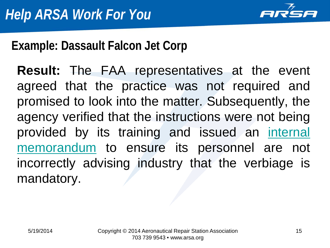

#### **Example: Dassault Falcon Jet Corp**

**Result:** The FAA representatives at the event agreed that the practice was not required and promised to look into the matter. Subsequently, the agency verified that the instructions were not being provided by its training and issued an [internal](http://arsa.org/wp-content/uploads/2014/04/ARSA-8130-3-Block12-Guidance-20140416.pdf) [memorandum](http://arsa.org/wp-content/uploads/2014/04/ARSA-8130-3-Block12-Guidance-20140416.pdf) to ensure its personnel are not incorrectly advising industry that the verbiage is mandatory.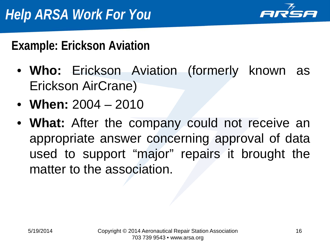

#### **Example: Erickson Aviation**

- **Who:** Erickson Aviation (formerly known as Erickson AirCrane)
- **When:** 2004 2010
- **What:** After the company could not receive an appropriate answer concerning approval of data used to support "major" repairs it brought the matter to the association.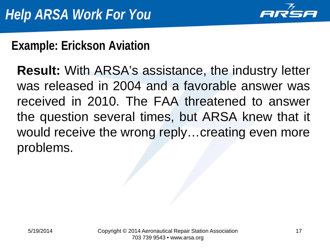

#### **Example: Erickson Aviation**

**Result:** With ARSA's assistance, the industry letter was released in 2004 and a favorable answer was received in 2010. The FAA threatened to answer the question several times, but ARSA knew that it would receive the wrong reply…creating even more problems.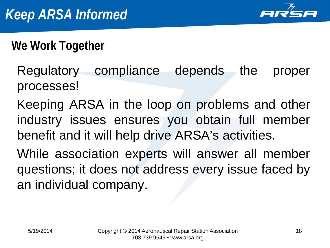

**We Work Together**

- Regulatory compliance depends the proper processes!
- Keeping ARSA in the loop on problems and other industry issues ensures you obtain full member benefit and it will help drive ARSA's activities.
- While association experts will answer all member questions; it does not address every issue faced by an individual company.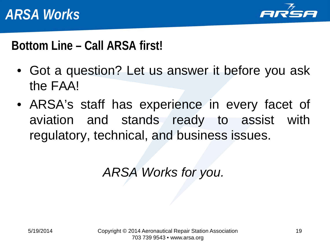

#### **Bottom Line – Call ARSA first!**

- Got a question? Let us answer it before you ask the FAA!
- ARSA's staff has experience in every facet of aviation and stands ready to assist with regulatory, technical, and business issues.

*ARSA Works for you.*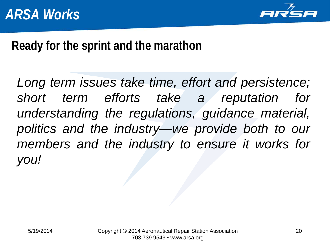

#### **Ready for the sprint and the marathon**

*Long term issues take time, effort and persistence; short term efforts take a reputation for understanding the regulations, guidance material, politics and the industry—we provide both to our members and the industry to ensure it works for you!*